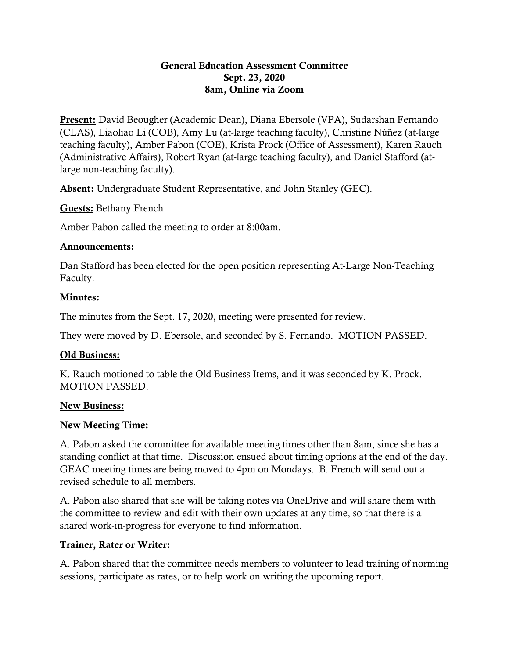### General Education Assessment Committee Sept. 23, 2020 8am, Online via Zoom

Present: David Beougher (Academic Dean), Diana Ebersole (VPA), Sudarshan Fernando (CLAS), Liaoliao Li (COB), Amy Lu (at-large teaching faculty), Christine Núñez (at-large teaching faculty), Amber Pabon (COE), Krista Prock (Office of Assessment), Karen Rauch (Administrative Affairs), Robert Ryan (at-large teaching faculty), and Daniel Stafford (atlarge non-teaching faculty).

Absent: Undergraduate Student Representative, and John Stanley (GEC).

Guests: Bethany French

Amber Pabon called the meeting to order at 8:00am.

### Announcements:

Dan Stafford has been elected for the open position representing At-Large Non-Teaching Faculty.

# Minutes:

The minutes from the Sept. 17, 2020, meeting were presented for review.

They were moved by D. Ebersole, and seconded by S. Fernando. MOTION PASSED.

# Old Business:

K. Rauch motioned to table the Old Business Items, and it was seconded by K. Prock. MOTION PASSED.

# New Business:

# New Meeting Time:

A. Pabon asked the committee for available meeting times other than 8am, since she has a standing conflict at that time. Discussion ensued about timing options at the end of the day. GEAC meeting times are being moved to 4pm on Mondays. B. French will send out a revised schedule to all members.

A. Pabon also shared that she will be taking notes via OneDrive and will share them with the committee to review and edit with their own updates at any time, so that there is a shared work-in-progress for everyone to find information.

# Trainer, Rater or Writer:

A. Pabon shared that the committee needs members to volunteer to lead training of norming sessions, participate as rates, or to help work on writing the upcoming report.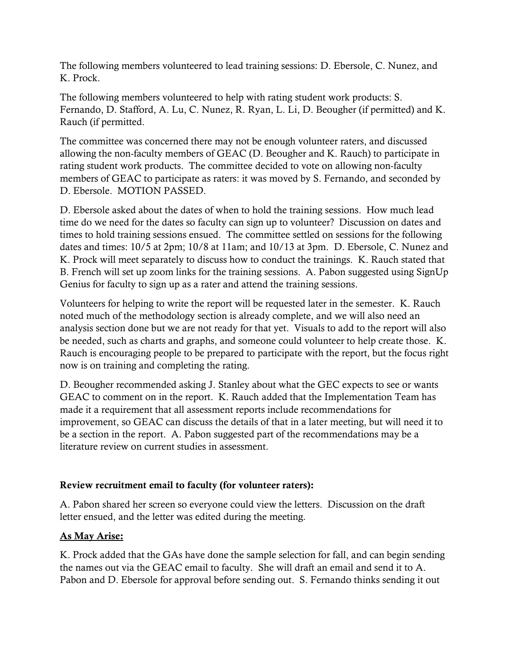The following members volunteered to lead training sessions: D. Ebersole, C. Nunez, and K. Prock.

The following members volunteered to help with rating student work products: S. Fernando, D. Stafford, A. Lu, C. Nunez, R. Ryan, L. Li, D. Beougher (if permitted) and K. Rauch (if permitted.

The committee was concerned there may not be enough volunteer raters, and discussed allowing the non-faculty members of GEAC (D. Beougher and K. Rauch) to participate in rating student work products. The committee decided to vote on allowing non-faculty members of GEAC to participate as raters: it was moved by S. Fernando, and seconded by D. Ebersole. MOTION PASSED.

D. Ebersole asked about the dates of when to hold the training sessions. How much lead time do we need for the dates so faculty can sign up to volunteer? Discussion on dates and times to hold training sessions ensued. The committee settled on sessions for the following dates and times: 10/5 at 2pm; 10/8 at 11am; and 10/13 at 3pm. D. Ebersole, C. Nunez and K. Prock will meet separately to discuss how to conduct the trainings. K. Rauch stated that B. French will set up zoom links for the training sessions. A. Pabon suggested using SignUp Genius for faculty to sign up as a rater and attend the training sessions.

Volunteers for helping to write the report will be requested later in the semester. K. Rauch noted much of the methodology section is already complete, and we will also need an analysis section done but we are not ready for that yet. Visuals to add to the report will also be needed, such as charts and graphs, and someone could volunteer to help create those. K. Rauch is encouraging people to be prepared to participate with the report, but the focus right now is on training and completing the rating.

D. Beougher recommended asking J. Stanley about what the GEC expects to see or wants GEAC to comment on in the report. K. Rauch added that the Implementation Team has made it a requirement that all assessment reports include recommendations for improvement, so GEAC can discuss the details of that in a later meeting, but will need it to be a section in the report. A. Pabon suggested part of the recommendations may be a literature review on current studies in assessment.

### Review recruitment email to faculty (for volunteer raters):

A. Pabon shared her screen so everyone could view the letters. Discussion on the draft letter ensued, and the letter was edited during the meeting.

# As May Arise:

K. Prock added that the GAs have done the sample selection for fall, and can begin sending the names out via the GEAC email to faculty. She will draft an email and send it to A. Pabon and D. Ebersole for approval before sending out. S. Fernando thinks sending it out